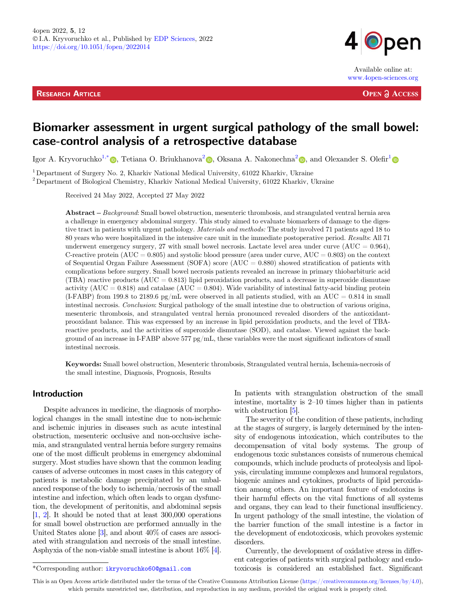**RESEARCH ARTICLE** 



Available online at: www.4open-sciences.org

**OPEN ACCESS** 

# Biomarker assessment in urgent surgical pathology of the small bowel: case-control analysis of a retrospective database

Igor A. Kryvoruchko<sup>1,[\\*](https://orcid.org/0000-0002-5525-701X)</sup>  $\bullet$ , Tetiana O. Briukhanova<sup>[2](https://orcid.org/0000-0002-2614-1587)</sup>  $\bullet$ , Oksana A. Nakonechna<sup>2</sup>  $\bullet$ , and Olexander S. Olefir<sup>[1](https://orcid.org/0000-0002-7920-7471)</sup>

<sup>1</sup> Department of Surgery No. 2, Kharkiv National Medical University, 61022 Kharkiv, Ukraine

<sup>2</sup> Department of Biological Chemistry, Kharkiv National Medical University, 61022 Kharkiv, Ukraine

Received 24 May 2022, Accepted 27 May 2022

Abstract – Background: Small bowel obstruction, mesenteric thrombosis, and strangulated ventral hernia area a challenge in emergency abdominal surgery. This study aimed to evaluate biomarkers of damage to the digestive tract in patients with urgent pathology. Materials and methods: The study involved 71 patients aged 18 to 80 years who were hospitalized in the intensive care unit in the immediate postoperative period. Results: All 71 underwent emergency surgery, 27 with small bowel necrosis. Lactate level area under curve  $(AUC = 0.964)$ , C-reactive protein  $(AUC = 0.805)$  and systolic blood pressure (area under curve,  $AUC = 0.803$ ) on the context of Sequential Organ Failure Assessment (SOFA) score ( $AUC = 0.880$ ) showed stratification of patients with complications before surgery. Small bowel necrosis patients revealed an increase in primary thiobarbituric acid (TBA) reactive products ( $AUC = 0.813$ ) lipid peroxidation products, and a decrease in superoxide dismutase activity  $(AUC = 0.818)$  and catalase  $(AUC = 0.804)$ . Wide variability of intestinal fatty-acid binding protein  $(LFABP)$  from 199.8 to 2189.6 pg/mL were observed in all patients studied, with an AUC = 0.814 in small intestinal necrosis. Conclusion: Surgical pathology of the small intestine due to obstruction of various origina, mesenteric thrombosis, and strangulated ventral hernia pronounced revealed disorders of the antioxidantprooxidant balance. This was expressed by an increase in lipid peroxidation products, and the level of TBAreactive products, and the activities of superoxide dismutase (SOD), and catalase. Viewed against the background of an increase in I-FABP above 577 pg/mL, these variables were the most significant indicators of small intestinal necrosis.

Keywords: Small bowel obstruction, Mesenteric thrombosis, Strangulated ventral hernia, Ischemia-necrosis of the small intestine, Diagnosis, Prognosis, Results

# Introduction

Despite advances in medicine, the diagnosis of morphological changes in the small intestine due to non-ischemic and ischemic injuries in diseases such as acute intestinal obstruction, mesenteric occlusive and non-occlusive ischemia, and strangulated ventral hernia before surgery remains one of the most difficult problems in emergency abdominal surgery. Most studies have shown that the common leading causes of adverse outcomes in most cases in this category of patients is metabolic damage precipitated by an unbalanced response of the body to ischemia/necrosis of the small intestine and infection, which often leads to organ dysfunction, the development of peritonitis, and abdominal sepsis [\[1,](#page-9-0) [2](#page-9-0)]. It should be noted that at least 300,000 operations for small bowel obstruction are performed annually in the United States alone [[3\]](#page-9-0), and about 40% of cases are associated with strangulation and necrosis of the small intestine. Asphyxia of the non-viable small intestine is about 16% [\[4\]](#page-9-0).

In patients with strangulation obstruction of the small intestine, mortality is 2–10 times higher than in patients with obstruction [\[5](#page-9-0)].

The severity of the condition of these patients, including at the stages of surgery, is largely determined by the intensity of endogenous intoxication, which contributes to the decompensation of vital body systems. The group of endogenous toxic substances consists of numerous chemical compounds, which include products of proteolysis and lipolysis, circulating immune complexes and humoral regulators, biogenic amines and cytokines, products of lipid peroxidation among others. An important feature of endotoxins is their harmful effects on the vital functions of all systems and organs, they can lead to their functional insufficiency. In urgent pathology of the small intestine, the violation of the barrier function of the small intestine is a factor in the development of endotoxicosis, which provokes systemic disorders.

Currently, the development of oxidative stress in different categories of patients with surgical pathology and endo- \*Corresponding author: ikryvoruchko60@gmail.com toxicosis is considered an established fact. Significant

This is an Open Access article distributed under the terms of the Creative Commons Attribution License [\(https://creativecommons.org/licenses/by/4.0\)](https://creativecommons.org/licenses/by/4.0/), which permits unrestricted use, distribution, and reproduction in any medium, provided the original work is properly cited.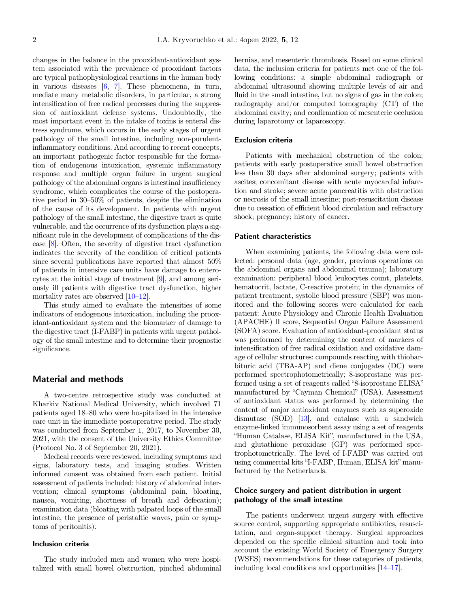changes in the balance in the prooxidant-antioxidant system associated with the prevalence of prooxidant factors are typical pathophysiological reactions in the human body in various diseases [\[6](#page-9-0), [7](#page-9-0)]. These phenomena, in turn, mediate many metabolic disorders, in particular, a strong intensification of free radical processes during the suppression of antioxidant defense systems. Undoubtedly, the most important event in the intake of toxins is enteral distress syndrome, which occurs in the early stages of urgent pathology of the small intestine, including non-purulentinflammatory conditions. And according to recent concepts, an important pathogenic factor responsible for the formation of endogenous intoxication, systemic inflammatory response and multiple organ failure in urgent surgical pathology of the abdominal organs is intestinal insufficiency syndrome, which complicates the course of the postoperative period in 30–50% of patients, despite the elimination of the cause of its development. In patients with urgent pathology of the small intestine, the digestive tract is quite vulnerable, and the occurrence of its dysfunction plays a significant role in the development of complications of the disease [\[8\]](#page-9-0). Often, the severity of digestive tract dysfunction indicates the severity of the condition of critical patients since several publications have reported that almost 50% of patients in intensive care units have damage to enterocytes at the initial stage of treatment [\[9](#page-9-0)], and among seriously ill patients with digestive tract dysfunction, higher mortality rates are observed [\[10](#page-9-0)–[12](#page-9-0)].

This study aimed to evaluate the intensities of some indicators of endogenous intoxication, including the prooxidant-antioxidant system and the biomarker of damage to the digestive tract (I-FABP) in patients with urgent pathology of the small intestine and to determine their prognostic significance.

# Material and methods

A two-centre retrospective study was conducted at Kharkiv National Medical University, which involved 71 patients aged 18–80 who were hospitalized in the intensive care unit in the immediate postoperative period. The study was conducted from September 1, 2017, to November 30, 2021, with the consent of the University Ethics Committee (Protocol No. 3 of September 20, 2021).

Medical records were reviewed, including symptoms and signs, laboratory tests, and imaging studies. Written informed consent was obtained from each patient. Initial assessment of patients included: history of abdominal intervention; clinical symptoms (abdominal pain, bloating, nausea, vomiting, shortness of breath and defecation); examination data (bloating with palpated loops of the small intestine, the presence of peristaltic waves, pain or symptoms of peritonitis).

### Inclusion criteria

The study included men and women who were hospitalized with small bowel obstruction, pinched abdominal hernias, and mesenteric thrombosis. Based on some clinical data, the inclusion criteria for patients met one of the following conditions: a simple abdominal radiograph or abdominal ultrasound showing multiple levels of air and fluid in the small intestine, but no signs of gas in the colon; radiography and/or computed tomography (CT) of the abdominal cavity; and confirmation of mesenteric occlusion during laparotomy or laparoscopy.

### Exclusion criteria

Patients with mechanical obstruction of the colon; patients with early postoperative small bowel obstruction less than 30 days after abdominal surgery; patients with ascites; concomitant disease with acute myocardial infarction and stroke; severe acute pancreatitis with obstruction or necrosis of the small intestine; post-resuscitation disease due to cessation of efficient blood circulation and refractory shock; pregnancy; history of cancer.

### Patient characteristics

When examining patients, the following data were collected: personal data (age, gender, previous operations on the abdominal organs and abdominal trauma); laboratory examination: peripheral blood leukocytes count, platelets, hematocrit, lactate, C-reactive protein; in the dynamics of patient treatment, systolic blood pressure (SBP) was monitored and the following scores were calculated for each patient: Acute Physiology and Chronic Health Evaluation (APACHE) II score, Sequential Organ Failure Assessment (SOFA) score. Evaluation of antioxidant-prooxidant status was performed by determining the content of markers of intensification of free radical oxidation and oxidative damage of cellular structures: compounds reacting with thiobarbituric acid (TBA-AP) and diene conjugates (DC) were performed spectrophotometrically; 8-isoprostane was performed using a set of reagents called "8-isoprostane ELISA" manufactured by "Cayman Chemical" (USA). Assessment of antioxidant status was performed by determining the content of major antioxidant enzymes such as superoxide dismutase (SOD) [\[13\]](#page-10-0), and catalase with a sandwich enzyme-linked immunosorbent assay using a set of reagents "Human Catalase, ELISA Kit", manufactured in the USA, and glutathione peroxidase (GP) was performed spectrophotometrically. The level of I-FABP was carried out using commercial kits "I-FABP, Human, ELISA kit" manufactured by the Netherlands.

### Choice surgery and patient distribution in urgent pathology of the small intestine

The patients underwent urgent surgery with effective source control, supporting appropriate antibiotics, resuscitation, and organ-support therapy. Surgical approaches depended on the specific clinical situation and took into account the existing World Society of Emergency Surgery (WSES) recommendations for these categories of patients, including local conditions and opportunities [\[14](#page-10-0)–[17](#page-10-0)].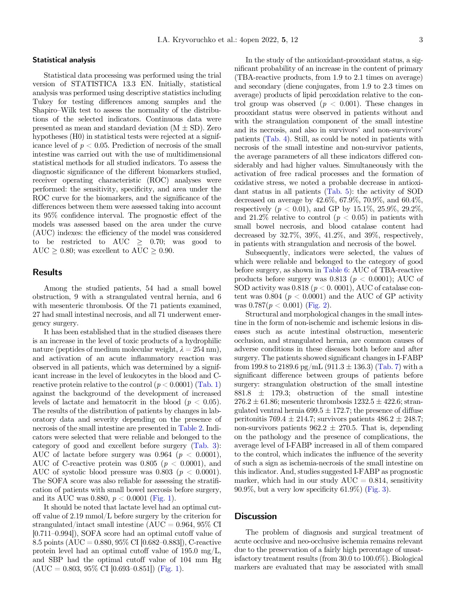### Statistical analysis

Statistical data processing was performed using the trial version of STATISTICA 13.3 EN. Initially, statistical analysis was performed using descriptive statistics including Tukey for testing differences among samples and the Shapiro–Wilk test to assess the normality of the distributions of the selected indicators. Continuous data were presented as mean and standard deviation  $(M \pm SD)$ . Zero hypotheses (H0) in statistical tests were rejected at a significance level of  $p < 0.05$ . Prediction of necrosis of the small intestine was carried out with the use of multidimensional statistical methods for all studied indicators. To assess the diagnostic significance of the different biomarkers studied, receiver operating characteristic (ROC) analyses were performed: the sensitivity, specificity, and area under the ROC curve for the biomarkers, and the significance of the differences between them were assessed taking into account its 95% confidence interval. The prognostic effect of the models was assessed based on the area under the curve (AUC) indexes: the efficiency of the model was considered to be restricted to AUC  $\geq$  0.70; was good to AUC  $\geq$  0.80; was excellent to AUC  $\geq$  0.90.

### Results

Among the studied patients, 54 had a small bowel obstruction, 9 with a strangulated ventral hernia, and 6 with mesenteric thrombosis. Of the 71 patients examined, 27 had small intestinal necrosis, and all 71 underwent emergency surgery.

It has been established that in the studied diseases there is an increase in the level of toxic products of a hydrophilic nature (peptides of medium molecular weight,  $\lambda = 254$  nm), and activation of an acute inflammatory reaction was observed in all patients, which was determined by a significant increase in the level of leukocytes in the blood and Creactive protein relative to the control  $(p < 0.0001)$  [\(Tab. 1](#page-3-0)) against the background of the development of increased levels of lactate and hematocrit in the blood ( $p < 0.05$ ). The results of the distribution of patients by changes in laboratory data and severity depending on the presence of necrosis of the small intestine are presented in [Table 2](#page-4-0). Indicators were selected that were reliable and belonged to the category of good and excellent before surgery [\(Tab. 3\)](#page-5-0): AUC of lactate before surgery was  $0.964$  ( $p < 0.0001$ ), AUC of C-reactive protein was 0.805 ( $p < 0.0001$ ), and AUC of systolic blood pressure was  $0.803$  ( $p < 0.0001$ ). The SOFA score was also reliable for assessing the stratification of patients with small bowel necrosis before surgery, and its AUC was 0.880,  $p < 0.0001$  ([Fig. 1\)](#page-5-0).

It should be noted that lactate level had an optimal cutoff value of 2.19 mmol/L before surgery by the criterion for strangulated/intact small intestine (AUC =  $0.964$ ,  $95\%$  CI [0.711–0.994]), SOFA score had an optimal cutoff value of 8.5 points (AUC = 0.880, 95% CI [0.682–0.883]), C-reactive protein level had an optimal cutoff value of 195.0 mg/L, and SBP had the optimal cutoff value of 104 mm Hg  $(AUC = 0.803, 95\% CI [0.693–0.851])$  [\(Fig. 1\)](#page-5-0).

In the study of the antioxidant-prooxidant status, a significant probability of an increase in the content of primary (TBA-reactive products, from 1.9 to 2.1 times on average) and secondary (diene conjugates, from 1.9 to 2.3 times on average) products of lipid peroxidation relative to the control group was observed ( $p < 0.001$ ). These changes in prooxidant status were observed in patients without and with the strangulation component of the small intestine and its necrosis, and also in survivors' and non-survivors' patients ([Tab. 4\)](#page-6-0). Still, as could be noted in patients with necrosis of the small intestine and non-survivor patients, the average parameters of all these indicators differed considerably and had higher values. Simultaneously with the activation of free radical processes and the formation of oxidative stress, we noted a probable decrease in antioxidant status in all patients [\(Tab. 5](#page-6-0)): the activity of SOD decreased on average by 42.6%, 67.9%, 70.9%, and 60.4%, respectively  $(p < 0.01)$ , and GP by 15.1\%, 25.9\%, 29.2\%, and 21.2\% relative to control  $(p < 0.05)$  in patients with small bowel necrosis, and blood catalase content had decreased by 32.7%, 39%, 41.2%, and 39%, respectively, in patients with strangulation and necrosis of the bowel.

Subsequently, indicators were selected, the values of which were reliable and belonged to the category of good before surgery, as shown in [Table 6:](#page-6-0) AUC of TBA-reactive products before surgery was 0.813 ( $p < 0.0001$ ); AUC of SOD activity was  $0.818$  ( $p < 0.0001$ ), AUC of catalase content was 0.804 ( $p < 0.0001$ ) and the AUC of GP activity was  $0.787(p < 0.001)$  ([Fig. 2](#page-7-0)).

Structural and morphological changes in the small intestine in the form of non-ischemic and ischemic lesions in diseases such as acute intestinal obstruction, mesenteric occlusion, and strangulated hernia, are common causes of adverse conditions in these diseases both before and after surgery. The patients showed significant changes in I-FABP from 199.8 to 2189.6 pg/mL (911.3  $\pm$  136.3) ([Tab. 7\)](#page-7-0) with a significant difference between groups of patients before surgery: strangulation obstruction of the small intestine  $881.8 \pm 179.3$ ; obstruction of the small intestine  $276.2 \pm 61.86$ ; mesenteric thrombosis  $1232.5 \pm 422.6$ ; strangulated ventral hernia  $699.5 \pm 172.7$ ; the presence of diffuse peritonitis 769.4  $\pm$  214.7; survivors patients 486.2  $\pm$  248.7; non-survivors patients  $962.2 \pm 270.5$ . That is, depending on the pathology and the presence of complications, the average level of I-FABP increased in all of them compared to the control, which indicates the influence of the severity of such a sign as ischemia-necrosis of the small intestine on this indicator. And, studies suggested I-FABP as prognostic marker, which had in our study  $AUC = 0.814$ , sensitivity  $90.9\%$ , but a very low specificity  $61.9\%$ ) [\(Fig. 3](#page-8-0)).

# **Discussion**

The problem of diagnosis and surgical treatment of acute occlusive and neo-occlusive ischemia remains relevant due to the preservation of a fairly high percentage of unsatisfactory treatment results (from 30.0 to 100.0%). Biological markers are evaluated that may be associated with small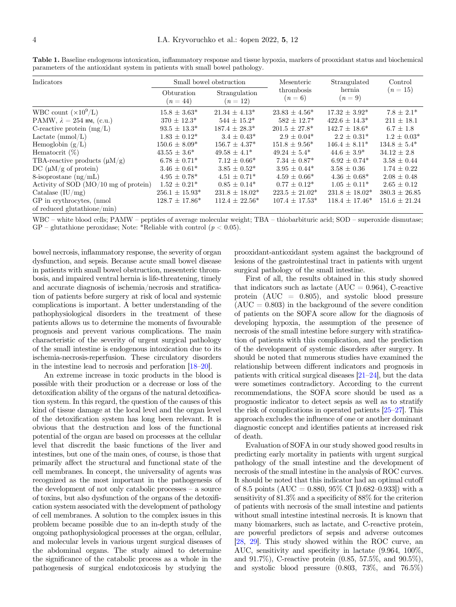| Indicators                            |                          | Small bowel obstruction   | Mesenteric            | Strangulated        | Control           |
|---------------------------------------|--------------------------|---------------------------|-----------------------|---------------------|-------------------|
|                                       | Obturation<br>$(n = 44)$ | Strangulation<br>$(n=12)$ | thrombosis<br>$(n=6)$ | hernia<br>$(n=9)$   | $(n=15)$          |
| WBC count $(\times 10^9/L)$           | $15.8 \pm 3.63^*$        | $21.34 \pm 4.13*$         | $23.83 \pm 4.56^*$    | $17.32 \pm 3.92^*$  | $7.8 \pm 2.1^*$   |
| PAMW, $\lambda = 254$ HM, (c.u.)      | $370 \pm 12.3^*$         | $544 \pm 15.2^*$          | $582 \pm 12.7^*$      | $422.6 \pm 14.3^*$  | $211 \pm 18.1$    |
| C-reactive protein $(mg/L)$           | $93.5 \pm 13.3^*$        | $187.4 \pm 28.3^*$        | $201.5 + 27.8^*$      | $142.7 + 18.6*$     | $6.7 \pm 1.8$     |
| Lactate $(mmol/L)$                    | $1.83 \pm 0.12^*$        | $3.4 \pm 0.43^*$          | $2.9 \pm 0.04*$       | $2.2 \pm 0.31^*$    | $1.2 \pm 0.03^*$  |
| Hemoglobin $(g/L)$                    | $150.6 \pm 8.09^*$       | $156.7 \pm 4.37*$         | $151.8 \pm 9.56^*$    | $146.4 \pm 8.11*$   | $134.8 \pm 5.4^*$ |
| Hematocrit $(\%)$                     | $43.55 \pm 3.6^*$        | $49.58 \pm 4.1^*$         | $49.24 \pm 5.4^*$     | $44.6 + 3.9^*$      | $34.12 \pm 2.8$   |
| TBA-reactive products $(\mu M/g)$     | $6.78 \pm 0.71^*$        | $7.12 \pm 0.66^*$         | $7.34 \pm 0.87*$      | $6.92 \pm 0.74^*$   | $3.58 \pm 0.44$   |
| DC $(\mu M/g \text{ of protein})$     | $3.46 \pm 0.61^*$        | $3.85 \pm 0.52^*$         | $3.95 \pm 0.44*$      | $3.58 \pm 0.36$     | $1.74 \pm 0.22$   |
| 8-isoprostane $(\text{ng/mL})$        | $4.95 \pm 0.78^*$        | $4.51 \pm 0.71^*$         | $4.59 \pm 0.66^*$     | $4.36 \pm 0.68^*$   | $2.08 \pm 0.48$   |
| Activity of SOD (MO/10 mg of protein) | $1.52 \pm 0.21^*$        | $0.85 \pm 0.14^*$         | $0.77 \pm 0.12^*$     | $1.05 \pm 0.11^*$   | $2.65 \pm 0.12$   |
| Catalase $(IU/mg)$                    | $256.1 \pm 15.93*$       | $231.8 \pm 18.02^*$       | $223.5 \pm 21.02^*$   | $231.8 \pm 18.02^*$ | $380.3 \pm 26.85$ |
| GP in erythrocytes, (nmol)            | $128.7 \pm 17.86^*$      | $112.4 \pm 22.56^*$       | $107.4 \pm 17.53*$    | $118.4 \pm 17.46^*$ | $151.6 \pm 21.24$ |
| of reduced glutathione/min)           |                          |                           |                       |                     |                   |

<span id="page-3-0"></span>Table 1. Baseline endogenous intoxication, inflammatory response and tissue hypoxia, markers of prooxidant status and biochemical parameters of the antioxidant system in patients with small bowel pathology.

WBC – white blood cells; PAMW – peptides of average molecular weight; TBA – thiobarbituric acid; SOD – superoxide dismutase;  $GP$  – glutathione peroxidase; Note: \*Reliable with control ( $p < 0.05$ ).

bowel necrosis, inflammatory response, the severity of organ dysfunction, and sepsis. Because acute small bowel disease in patients with small bowel obstruction, mesenteric thrombosis, and impaired ventral hernia is life-threatening, timely and accurate diagnosis of ischemia/necrosis and stratification of patients before surgery at risk of local and systemic complications is important. A better understanding of the pathophysiological disorders in the treatment of these patients allows us to determine the moments of favourable prognosis and prevent various complications. The main characteristic of the severity of urgent surgical pathology of the small intestine is endogenous intoxication due to its ischemia-necrosis-reperfusion. These circulatory disorders in the intestine lead to necrosis and perforation [[18](#page-10-0)–[20](#page-10-0)].

An extreme increase in toxic products in the blood is possible with their production or a decrease or loss of the detoxification ability of the organs of the natural detoxification system. In this regard, the question of the causes of this kind of tissue damage at the local level and the organ level of the detoxification system has long been relevant. It is obvious that the destruction and loss of the functional potential of the organ are based on processes at the cellular level that discredit the basic functions of the liver and intestines, but one of the main ones, of course, is those that primarily affect the structural and functional state of the cell membranes. In concept, the universality of agents was recognized as the most important in the pathogenesis of the development of not only catabolic processes – a source of toxins, but also dysfunction of the organs of the detoxification system associated with the development of pathology of cell membranes. A solution to the complex issues in this problem became possible due to an in-depth study of the ongoing pathophysiological processes at the organ, cellular, and molecular levels in various urgent surgical diseases of the abdominal organs. The study aimed to determine the significance of the catabolic process as a whole in the pathogenesis of surgical endotoxicosis by studying the

prooxidant-antioxidant system against the background of lesions of the gastrointestinal tract in patients with urgent surgical pathology of the small intestine.

First of all, the results obtained in this study showed that indicators such as lactate  $(AUC = 0.964)$ , C-reactive protein (AUC = 0.805), and systolic blood pressure  $(AUC = 0.803)$  in the background of the severe condition of patients on the SOFA score allow for the diagnosis of developing hypoxia, the assumption of the presence of necrosis of the small intestine before surgery with stratification of patients with this complication, and the prediction of the development of systemic disorders after surgery. It should be noted that numerous studies have examined the relationship between different indicators and prognosis in patients with critical surgical diseases [\[21](#page-10-0)–[24](#page-10-0)], but the data were sometimes contradictory. According to the current recommendations, the SOFA score should be used as a prognostic indicator to detect sepsis as well as to stratify the risk of complications in operated patients [\[25](#page-10-0)–[27\]](#page-10-0). This approach excludes the influence of one or another dominant diagnostic concept and identifies patients at increased risk of death.

Evaluation of SOFA in our study showed good results in predicting early mortality in patients with urgent surgical pathology of the small intestine and the development of necrosis of the small intestine in the analysis of ROC curves. It should be noted that this indicator had an optimal cutoff of 8.5 points (AUC = 0.880, 95\% CI [0.682-0.933]) with a sensitivity of 81.3% and a specificity of 88% for the criterion of patients with necrosis of the small intestine and patients without small intestine intestinal necrosis. It is known that many biomarkers, such as lactate, and C-reactive protein, are powerful predictors of sepsis and adverse outcomes [[28](#page-10-0), [29\]](#page-10-0). This study showed within the ROC curve, an AUC, sensitivity and specificity in lactate (9.964, 100%, and 91.7%), C-reactive protein (0.85, 57.5%, and 90.5%), and systolic blood pressure (0.803, 73%, and 76.5%)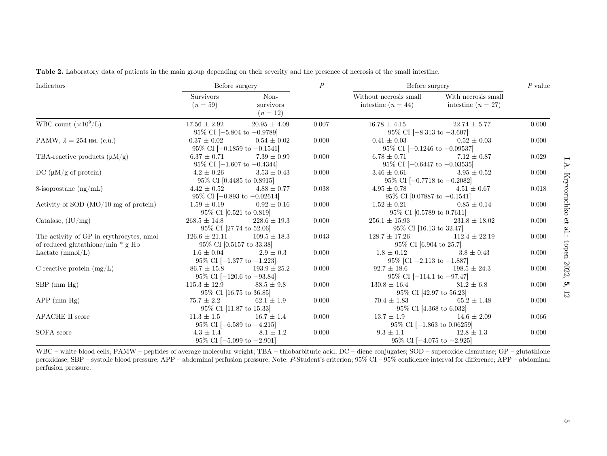| Indicators                                                                      | Before surgery                                           |                               | $\cal P$ | Before surgery                                             |                                           | $P$ value |
|---------------------------------------------------------------------------------|----------------------------------------------------------|-------------------------------|----------|------------------------------------------------------------|-------------------------------------------|-----------|
|                                                                                 | <b>Survivors</b><br>$(n=59)$                             | Non-<br>survivors<br>$(n=12)$ |          | Without necrosis small<br>intestine $(n = 44)$             | With necrosis small<br>intestine $(n=27)$ |           |
| WBC count $(\times 10^9/L)$                                                     | $17.56 \pm 2.92$<br>$95\%$ CI [-5.804 to -0.9789]        | $20.95 \pm 4.09$              | 0.007    | $16.78 \pm 4.15$<br>95\% CI [-8.313 to -3.607]             | $22.74 \pm 5.77$                          | 0.000     |
| PAMW, $\lambda = 254$ HM, (c.u.)                                                | $0.37 \pm 0.02$<br>95\% CI $[-0.1859$ to $-0.1541]$      | $0.54 \pm 0.02$               | 0.000    | $0.41 \pm 0.03$<br>95\% CI $[-0.1246$ to $-0.09537]$       | $0.52 \pm 0.03$                           | 0.000     |
| TBA-reactive products $(\mu M/g)$                                               | $6.37 \pm 0.71$<br>95\% CI $[-1.607$ to $-0.4344]$       | $7.39 \pm 0.99$               | 0.000    | $6.78 \pm 0.71$<br>95% CI $[-0.6447 \text{ to } -0.03535]$ | $7.12 \pm 0.87$                           | 0.029     |
| DC $(\mu M/g \text{ of protein})$                                               | $4.2 \pm 0.26$<br>95\% CI [0.4485 to 0.8915]             | $3.53 \pm 0.43$               | 0.000    | $3.46 \pm 0.61$<br>95\% CI [-0.7718 to -0.2082]            | $3.95 \pm 0.52$                           | 0.000     |
| 8-isoprostane $(\text{ng/mL})$                                                  | $4.42 \pm 0.52$<br>95\% CI $[-0.893$ to $-0.02614]$      | $4.88 \pm 0.77$               | 0.038    | $4.95 \pm 0.78$<br>95\% CI [0.07887 to $-0.1541$ ]         | $4.51 \pm 0.67$                           | 0.018     |
| Activity of SOD $(MO/10$ mg of protein)                                         | $1.59 \pm 0.19$<br>95\% CI [0.521 to 0.819]              | $0.92 \pm 0.16$               | 0.000    | $1.52 \pm 0.21$<br>95% CI [0.5789 to 0.7611]               | $0.85 \pm 0.14$                           | 0.000     |
| Catalase, $(IU/mg)$                                                             | $268.5 \pm 14.8$<br>95% CI [27.74 to 52.06]              | $228.6 \pm 19.3$              | 0.000    | $256.1 \pm 15.93$<br>95% CI [16.13 to 32.47]               | $231.8 \pm 18.02$                         | 0.000     |
| The activity of GP in erythrocytes, nmol<br>of reduced glutathione/min $*$ g Hb | $126.6 \pm 21.11$<br>95% CI [0.5157 to 33.38]            | $109.5 \pm 18.3$              | 0.043    | $128.7 \pm 17.26$<br>95% CI [6.904 to 25.7]                | $112.4 \pm 22.19$                         | 0.000     |
| Lactate $(mmol/L)$                                                              | $1.6 \pm 0.04$<br>95\% CI [ $-1.377$ to $-1.223$ ]       | $2.9 \pm 0.3$                 | 0.000    | $1.8 \pm 0.12$<br>95\% [CI -2.113 to -1.887]               | $3.8 \pm 0.43$                            | 0.000     |
| C-reactive protein $(mg/L)$                                                     | $86.7 \pm 15.8$<br>95\% CI $[-120.6 \text{ to } -93.84]$ | $193.9 \pm 25.2$              | 0.000    | $92.7 \pm 18.6$<br>95\% CI [-114.1 to -97.47]              | $198.5 \pm 24.3$                          | 0.000     |
| $SBP$ (mm $Hg$ )                                                                | $115.3 \pm 12.9$<br>95% CI [16.75 to 36.85]              | $88.5 \pm 9.8$                | 0.000    | $130.8 \pm 16.4$<br>95% CI [42.97 to 56.23]                | $81.2 \pm 6.8$                            | 0.000     |
| $APP \ (mm Hg)$                                                                 | $75.7 \pm 2.2$<br>95% CI [11.87 to 15.33]                | $62.1 \pm 1.9$                | 0.000    | $70.4 \pm 1.83$<br>95% CI [4.368 to 6.032]                 | $65.2 \pm 1.48$                           | 0.000     |
| APACHE II score                                                                 | $11.3 \pm 1.5$<br>95\% CI $[-6.589 \text{ to } -4.215]$  | $16.7 \pm 1.4$                | 0.000    | $13.7 \pm 1.9$<br>95\% CI $[-1.863$ to 0.06259]            | $14.6 \pm 2.09$                           | 0.066     |
| SOFA score                                                                      | $4.3 \pm 1.4$<br>$95\%$ CI [-5.099 to -2.901]            | $8.1 \pm 1.2$                 | 0.000    | $9.3 \pm 1.1$<br>95\% CI $[-4.075$ to $-2.925]$            | $12.8 \pm 1.3$                            | 0.000     |

<span id="page-4-0"></span>Table 2. Laboratory data of patients in the main group depending on their severity and the presence of necrosis of the small intestine.

WBC – white blood cells; PAMW – peptides of average molecular weight; TBA – thiobarbituric acid; DC – diene conjugates; SOD – superoxide dismutase; GP – glutathione peroxidase; SBP – systolic blood pressure; APP – abdominal perfusion pressure; Note: P-Student'<sup>s</sup> criterion; 95% CI – 95% confidence interval for difference; APP – abdominal perfusion pressure.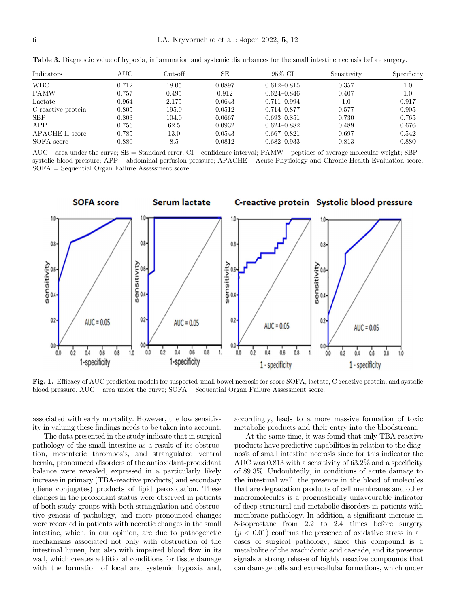| Indicators         | AUC   | $Cut-off$ | <b>SE</b> | 95% CI          | Sensitivity | Specificity |
|--------------------|-------|-----------|-----------|-----------------|-------------|-------------|
| <b>WBC</b>         | 0.712 | 18.05     | 0.0897    | $0.612 - 0.815$ | 0.357       | 1.0         |
| <b>PAMW</b>        | 0.757 | 0.495     | 0.912     | $0.624 - 0.846$ | 0.407       | 1.0         |
| Lactate            | 0.964 | 2.175     | 0.0643    | $0.711 - 0.994$ | 1.0         | 0.917       |
| C-reactive protein | 0.805 | 195.0     | 0.0512    | $0.714 - 0.877$ | 0.577       | 0.905       |
| <b>SBP</b>         | 0.803 | 104.0     | 0.0667    | $0.693 - 0.851$ | 0.730       | 0.765       |
| APP                | 0.756 | 62.5      | 0.0932    | $0.624 - 0.882$ | 0.489       | 0.676       |
| APACHE II score    | 0.785 | 13.0      | 0.0543    | $0.667 - 0.821$ | 0.697       | 0.542       |
| SOFA score         | 0.880 | 8.5       | 0.0812    | $0.682 - 0.933$ | 0.813       | 0.880       |
|                    |       |           |           |                 |             |             |

<span id="page-5-0"></span>Table 3. Diagnostic value of hypoxia, inflammation and systemic disturbances for the small intestine necrosis before surgery.

AUC – area under the curve; SE = Standard error; CI – confidence interval; PAMW – peptides of average molecular weight; SBP – systolic blood pressure; APP – abdominal perfusion pressure; APACHE – Acute Physiology and Chronic Health Evaluation score; SOFA = Sequential Organ Failure Assessment score.



Fig. 1. Efficacy of AUC prediction models for suspected small bowel necrosis for score SOFA, lactate, C-reactive protein, and systolic blood pressure. AUC – area under the curve; SOFA – Sequential Organ Failure Assessment score.

associated with early mortality. However, the low sensitivity in valuing these findings needs to be taken into account.

The data presented in the study indicate that in surgical pathology of the small intestine as a result of its obstruction, mesenteric thrombosis, and strangulated ventral hernia, pronounced disorders of the antioxidant-prooxidant balance were revealed, expressed in a particularly likely increase in primary (TBA-reactive products) and secondary (diene conjugates) products of lipid peroxidation. These changes in the prooxidant status were observed in patients of both study groups with both strangulation and obstructive genesis of pathology, and more pronounced changes were recorded in patients with necrotic changes in the small intestine, which, in our opinion, are due to pathogenetic mechanisms associated not only with obstruction of the intestinal lumen, but also with impaired blood flow in its wall, which creates additional conditions for tissue damage with the formation of local and systemic hypoxia and,

accordingly, leads to a more massive formation of toxic metabolic products and their entry into the bloodstream.

At the same time, it was found that only TBA-reactive products have predictive capabilities in relation to the diagnosis of small intestine necrosis since for this indicator the AUC was 0.813 with a sensitivity of 63.2% and a specificity of 89.3%. Undoubtedly, in conditions of acute damage to the intestinal wall, the presence in the blood of molecules that are degradation products of cell membranes and other macromolecules is a prognostically unfavourable indicator of deep structural and metabolic disorders in patients with membrane pathology. In addition, a significant increase in 8-isoprostane from 2.2 to 2.4 times before surgery  $(p < 0.01)$  confirms the presence of oxidative stress in all cases of surgical pathology, since this compound is a metabolite of the arachidonic acid cascade, and its presence signals a strong release of highly reactive compounds that can damage cells and extracellular formations, which under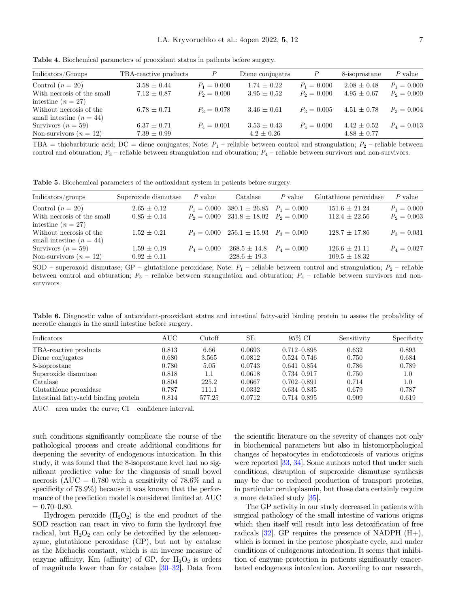| Indicators/Groups          | TBA-reactive products | $\boldsymbol{P}$ | Diene conjugates | $\boldsymbol{P}$ | 8-isoprostane   | P value       |
|----------------------------|-----------------------|------------------|------------------|------------------|-----------------|---------------|
| Control $(n=20)$           | $3.58 \pm 0.44$       | $P_1 = 0.000$    | $1.74 \pm 0.22$  | $P_1 = 0.000$    | $2.08 \pm 0.48$ | $P_1 = 0.000$ |
| With necrosis of the small | $7.12 \pm 0.87$       | $P_2 = 0.000$    | $3.95 \pm 0.52$  | $P_2 = 0.000$    | $4.95 \pm 0.67$ | $P_2 = 0.000$ |
| intestine $(n=27)$         |                       |                  |                  |                  |                 |               |
| Without necrosis of the    | $6.78 \pm 0.71$       | $P_3 = 0.078$    | $3.46 \pm 0.61$  | $P_3 = 0.005$    | $4.51 \pm 0.78$ | $P_3 = 0.004$ |
| small intestine $(n = 44)$ |                       |                  |                  |                  |                 |               |
| Survivors $(n=59)$         | $6.37 \pm 0.71$       | $P_4 = 0.001$    | $3.53 \pm 0.43$  | $P_4 = 0.000$    | $4.42 \pm 0.52$ | $P_4 = 0.013$ |
| Non-survivors $(n = 12)$   | $7.39 \pm 0.99$       |                  | $4.2 \pm 0.26$   |                  | $4.88 \pm 0.77$ |               |

<span id="page-6-0"></span>Table 4. Biochemical parameters of prooxidant status in patients before surgery.

TBA = thiobarbituric acid; DC = diene conjugates; Note:  $P_1$  – reliable between control and strangulation;  $P_2$  – reliable between control and obturation;  $P_3$  – reliable between strangulation and obturation;  $P_4$  – reliable between survivors and non-survivors.

Table 5. Biochemical parameters of the antioxidant system in patients before surgery.

| Indicators/groups          | Superoxide dismutase | $P$ value           | Catalase                                      | P value | Glutathione peroxidase | $P$ value     |
|----------------------------|----------------------|---------------------|-----------------------------------------------|---------|------------------------|---------------|
| Control $(n=20)$           | $2.65 \pm 0.12$      |                     | $P_1 = 0.000$ 380.1 $\pm$ 26.85 $P_1 = 0.000$ |         | $151.6 \pm 21.24$      | $P_1 = 0.000$ |
| With necrosis of the small | $0.85 \pm 0.14$      |                     | $P_2 = 0.000$ 231.8 $\pm$ 18.02 $P_2 = 0.000$ |         | $112.4 \pm 22.56$      | $P_2 = 0.003$ |
| intestine $(n=27)$         |                      |                     |                                               |         |                        |               |
| Without necrosis of the    | $1.52 \pm 0.21$      |                     | $P_3 = 0.000$ 256.1 $\pm$ 15.93 $P_3 = 0.000$ |         | $128.7 \pm 17.86$      | $P_3 = 0.031$ |
| small intestine $(n = 44)$ |                      |                     |                                               |         |                        |               |
| Survivors $(n=59)$         | $1.59 \pm 0.19$      | $P_{\rm A} = 0.000$ | $268.5 \pm 14.8$ $P_4 = 0.000$                |         | $126.6 \pm 21.11$      | $P_4=0.027$   |
| Non-survivors $(n = 12)$   | $0.92 \pm 0.11$      |                     | $228.6 \pm 19.3$                              |         | $109.5 \pm 18.32$      |               |

SOD – superoxoid dismutase; GP – glutathione peroxidase; Note:  $P_1$  – reliable between control and strangulation;  $P_2$  – reliable between control and obturation;  $P_3$  – reliable between strangulation and obturation;  $P_4$  – reliable between survivors and nonsurvivors.

Table 6. Diagnostic value of antioxidant-prooxidant status and intestinal fatty-acid binding protein to assess the probability of necrotic changes in the small intestine before surgery.

| Indicators                            | AUC   | Cutoff | SЕ     | 95% CI          | Sensitivity | Specificity |
|---------------------------------------|-------|--------|--------|-----------------|-------------|-------------|
| TBA-reactive products                 | 0.813 | 6.66   | 0.0693 | $0.712 - 0.895$ | 0.632       | 0.893       |
| Diene conjugates                      | 0.680 | 3.565  | 0.0812 | $0.524 - 0.746$ | 0.750       | 0.684       |
| 8-isoprostane                         | 0.780 | 5.05   | 0.0743 | $0.641 - 0.854$ | 0.786       | 0.789       |
| Superoxide dismutase                  | 0.818 | 1.1    | 0.0618 | $0.734 - 0.917$ | 0.750       | 1.0         |
| $\text{Catalase}$                     | 0.804 | 225.2  | 0.0667 | $0.702 - 0.891$ | 0.714       | 1.0         |
| Glutathione peroxidase                | 0.787 | 111.1  | 0.0332 | $0.634 - 0.835$ | 0.679       | 0.787       |
| Intestinal fatty-acid binding protein | 0.814 | 577.25 | 0.0712 | $0.714 - 0.895$ | 0.909       | 0.619       |

AUC – area under the curve; CI – confidence interval.

such conditions significantly complicate the course of the pathological process and create additional conditions for deepening the severity of endogenous intoxication. In this study, it was found that the 8-isoprostane level had no significant predictive value for the diagnosis of small bowel necrosis (AUC =  $0.780$  with a sensitivity of 78.6% and a specificity of 78.9%) because it was known that the performance of the prediction model is considered limited at AUC  $= 0.70 - 0.80.$ 

Hydrogen peroxide  $(H_2O_2)$  is the end product of the SOD reaction can react in vivo to form the hydroxyl free radical, but  $H_2O_2$  can only be detoxified by the selencenzyme, glutathione peroxidase (GP), but not by catalase as the Michaelis constant, which is an inverse measure of enzyme affinity, Km (affinity) of GP, for  $H_2O_2$  is orders of magnitude lower than for catalase [\[30](#page-10-0)–[32](#page-10-0)]. Data from

the scientific literature on the severity of changes not only in biochemical parameters but also in histomorphological changes of hepatocytes in endotoxicosis of various origins were reported [[33](#page-10-0), [34](#page-10-0)]. Some authors noted that under such conditions, disruption of superoxide dismutase synthesis may be due to reduced production of transport proteins, in particular ceruloplasmin, but these data certainly require a more detailed study [[35](#page-10-0)].

The GP activity in our study decreased in patients with surgical pathology of the small intestine of various origins which then itself will result into less detoxification of free radicals [[32](#page-10-0)]. GP requires the presence of NADPH  $(H+)$ , which is formed in the pentose phosphate cycle, and under conditions of endogenous intoxication. It seems that inhibition of enzyme protection in patients significantly exacerbated endogenous intoxication. According to our research,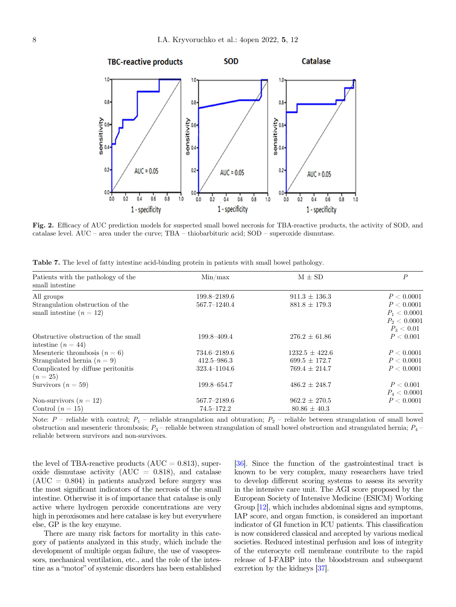<span id="page-7-0"></span>

Fig. 2. Efficacy of AUC prediction models for suspected small bowel necrosis for TBA-reactive products, the activity of SOD, and catalase level. AUC – area under the curve; TBA – thiobarbituric acid; SOD – superoxide dismutase.

| Patients with the pathology of the<br>small intestine | Min/max         | $M \pm SD$         | $\boldsymbol{P}$ |
|-------------------------------------------------------|-----------------|--------------------|------------------|
| All groups                                            | 199.8-2189.6    | $911.3 \pm 136.3$  | P < 0.0001       |
| Strangulation obstruction of the                      | 567.7-1240.4    | $881.8 \pm 179.3$  | P < 0.0001       |
| small intestine $(n = 12)$                            |                 |                    | $P_1 < 0.0001$   |
|                                                       |                 |                    | $P_2 < 0.0001$   |
|                                                       |                 |                    | $P_3 < 0.01$     |
| Obstructive obstruction of the small                  | 199.8-409.4     | $276.2 \pm 61.86$  | P < 0.001        |
| intestine $(n = 44)$                                  |                 |                    |                  |
| Mesenteric thrombosis $(n = 6)$                       | 734.6–2189.6    | $1232.5 \pm 422.6$ | P < 0.0001       |
| Strangulated hernia ( $n = 9$ )                       | $412.5 - 986.3$ | $699.5 \pm 172.7$  | P < 0.0001       |
| Complicated by diffuse peritonitis                    | 323.4-1104.6    | $769.4 \pm 214.7$  | P < 0.0001       |
| $(n=25)$                                              |                 |                    |                  |
| Survivors $(n = 59)$                                  | 199.8-654.7     | $486.2 \pm 248.7$  | P < 0.001        |
|                                                       |                 |                    | $P_4 < 0.0001$   |
| Non-survivors $(n = 12)$                              | 567.7-2189.6    | $962.2 \pm 270.5$  | P < 0.0001       |
| Control $(n=15)$                                      | $74.5 - 172.2$  | $80.86 \pm 40.3$   |                  |

Table 7. The level of fatty intestine acid-binding protein in patients with small bowel pathology.

Note:  $P$  – reliable with control;  $P_1$  – reliable strangulation and obturation;  $P_2$  – reliable between strangulation of small bowel obstruction and mesenteric thrombosis;  $P_3$  – reliable between strangulation of small bowel obstruction and strangulated hernia;  $P_4$  – reliable between survivors and non-survivors.

the level of TBA-reactive products  $(AUC = 0.813)$ , superoxide dismutase activity  $(AUC = 0.818)$ , and catalase  $(AUC = 0.804)$  in patients analyzed before surgery was the most significant indicators of the necrosis of the small intestine. Otherwise it is of importance that catalase is only active where hydrogen peroxide concentrations are very high in peroxisomes and here catalase is key but everywhere else, GP is the key enzyme.

There are many risk factors for mortality in this category of patients analyzed in this study, which include the development of multiple organ failure, the use of vasopressors, mechanical ventilation, etc., and the role of the intestine as a "motor" of systemic disorders has been established

[[36](#page-10-0)]. Since the function of the gastrointestinal tract is known to be very complex, many researchers have tried to develop different scoring systems to assess its severity in the intensive care unit. The AGI score proposed by the European Society of Intensive Medicine (ESICM) Working Group [\[12](#page-9-0)], which includes abdominal signs and symptoms, IAP score, and organ function, is considered an important indicator of GI function in ICU patients. This classification is now considered classical and accepted by various medical societies. Reduced intestinal perfusion and loss of integrity of the enterocyte cell membrane contribute to the rapid release of I-FABP into the bloodstream and subsequent excretion by the kidneys [\[37\]](#page-10-0).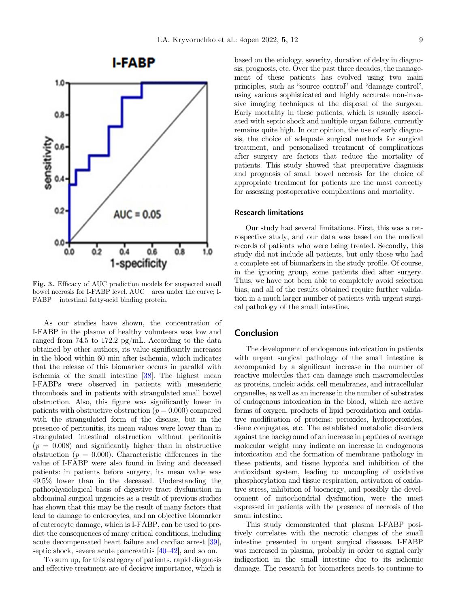# **I-FABP**

<span id="page-8-0"></span>

Fig. 3. Efficacy of AUC prediction models for suspected small bowel necrosis for I-FABP level. AUC – area under the curve; I-FABP – intestinal fatty-acid binding protein.

As our studies have shown, the concentration of I-FABP in the plasma of healthy volunteers was low and ranged from 74.5 to 172.2 pg/mL. According to the data obtained by other authors, its value significantly increases in the blood within 60 min after ischemia, which indicates that the release of this biomarker occurs in parallel with ischemia of the small intestine [[38\]](#page-10-0). The highest mean I-FABPs were observed in patients with mesenteric thrombosis and in patients with strangulated small bowel obstruction. Also, this figure was significantly lower in patients with obstructive obstruction ( $p = 0.000$ ) compared with the strangulated form of the disease, but in the presence of peritonitis, its mean values were lower than in strangulated intestinal obstruction without peritonitis  $(p = 0.008)$  and significantly higher than in obstructive obstruction ( $p = 0.000$ ). Characteristic differences in the value of I-FABP were also found in living and deceased patients: in patients before surgery, its mean value was 49.5% lower than in the deceased. Understanding the pathophysiological basis of digestive tract dysfunction in abdominal surgical urgencies as a result of previous studies has shown that this may be the result of many factors that lead to damage to enterocytes, and an objective biomarker of enterocyte damage, which is I-FABP, can be used to predict the consequences of many critical conditions, including acute decompensated heart failure and cardiac arrest [\[39\]](#page-10-0), septic shock, severe acute pancreatitis [[40](#page-10-0)–[42\]](#page-11-0), and so on.

To sum up, for this category of patients, rapid diagnosis and effective treatment are of decisive importance, which is based on the etiology, severity, duration of delay in diagnosis, prognosis, etc. Over the past three decades, the management of these patients has evolved using two main principles, such as "source control" and "damage control", using various sophisticated and highly accurate non-invasive imaging techniques at the disposal of the surgeon. Early mortality in these patients, which is usually associated with septic shock and multiple organ failure, currently remains quite high. In our opinion, the use of early diagnosis, the choice of adequate surgical methods for surgical treatment, and personalized treatment of complications after surgery are factors that reduce the mortality of patients. This study showed that preoperative diagnosis and prognosis of small bowel necrosis for the choice of appropriate treatment for patients are the most correctly for assessing postoperative complications and mortality.

#### Research limitations

Our study had several limitations. First, this was a retrospective study, and our data was based on the medical records of patients who were being treated. Secondly, this study did not include all patients, but only those who had a complete set of biomarkers in the study profile. Of course, in the ignoring group, some patients died after surgery. Thus, we have not been able to completely avoid selection bias, and all of the results obtained require further validation in a much larger number of patients with urgent surgical pathology of the small intestine.

# Conclusion

The development of endogenous intoxication in patients with urgent surgical pathology of the small intestine is accompanied by a significant increase in the number of reactive molecules that can damage such macromolecules as proteins, nucleic acids, cell membranes, and intracellular organelles, as well as an increase in the number of substrates of endogenous intoxication in the blood, which are active forms of oxygen, products of lipid peroxidation and oxidative modification of proteins: peroxides, hydroperoxides, diene conjugates, etc. The established metabolic disorders against the background of an increase in peptides of average molecular weight may indicate an increase in endogenous intoxication and the formation of membrane pathology in these patients, and tissue hypoxia and inhibition of the antioxidant system, leading to uncoupling of oxidative phosphorylation and tissue respiration, activation of oxidative stress, inhibition of bioenergy, and possibly the development of mitochondrial dysfunction, were the most expressed in patients with the presence of necrosis of the small intestine.

This study demonstrated that plasma I-FABP positively correlates with the necrotic changes of the small intestine presented in urgent surgical diseases. I-FABP was increased in plasma, probably in order to signal early indigestion in the small intestine due to its ischemic damage. The research for biomarkers needs to continue to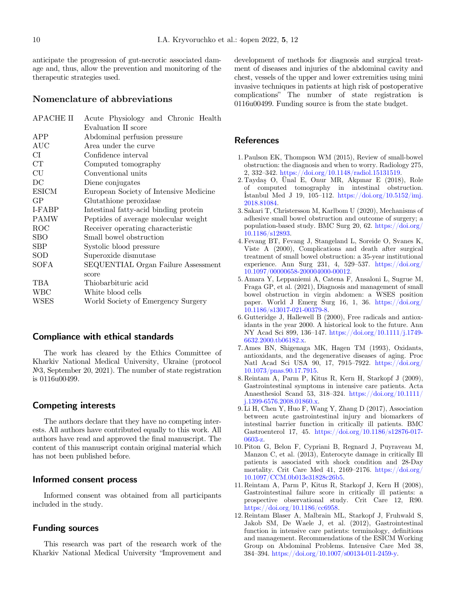<span id="page-9-0"></span>anticipate the progression of gut-necrotic associated damage and, thus, allow the prevention and monitoring of the therapeutic strategies used.

# Nomenclature of abbreviations

| APACHE II    | Acute Physiology and Chronic Health    |
|--------------|----------------------------------------|
|              | Evaluation II score                    |
| APP          | Abdominal perfusion pressure           |
| AUC          | Area under the curve                   |
| CI           | Confidence interval                    |
| CT           | Computed tomography                    |
| CU           | Conventional units                     |
| DC           | Diene conjugates                       |
| <b>ESICM</b> | European Society of Intensive Medicine |
| GP           | Glutathione peroxidase                 |
| I-FABP       | Intestinal fatty-acid binding protein  |
| <b>PAMW</b>  | Peptides of average molecular weight   |
| ROC          | Receiver operating characteristic      |
| <b>SBO</b>   | Small bowel obstruction                |
| <b>SBP</b>   | Systolic blood pressure                |
| SOD          | Superoxide dismutase                   |
| SOFA         | SEQUENTIAL Organ Failure Assessment    |
|              | score                                  |
| TBA          | Thiobarbituric acid                    |
| WBC          | White blood cells                      |
| <b>WSES</b>  | World Society of Emergency Surgery     |
|              |                                        |

# Compliance with ethical standards

The work has cleared by the Ethics Committee of Kharkiv National Medical University, Ukraine (protocol №3, September 20, 2021). The number of state registration is 0116u00499.

# Competing interests

The authors declare that they have no competing interests. All authors have contributed equally to this work. All authors have read and approved the final manuscript. The content of this manuscript contain original material which has not been published before.

# Informed consent process

Informed consent was obtained from all participants included in the study.

### Funding sources

This research was part of the research work of the Kharkiv National Medical University "Improvement and

development of methods for diagnosis and surgical treatment of diseases and injuries of the abdominal cavity and chest, vessels of the upper and lower extremities using mini invasive techniques in patients at high risk of postoperative complications" The number of state registration is 0116u00499. Funding source is from the state budget.

# **References**

- 1. Paulson EK, Thompson WM (2015), Review of small-bowel obstruction: the diagnosis and when to worry. Radiology 275, 2, 332–342. [https://doi.org/10.1148/radiol.15131519.](https://doi.org/10.1148/radiol.15131519)
- 2. Taydas O, Ünal E, Onur MR, Akpınar E (2018), Role of computed tomography in intestinal obstruction. or computed tomography in intestinal obstruction.<br>Istanbul Med J 19, 105–112. [https://doi.org/10.5152/imj.](https://doi.org/10.5152/imj.2018.81084) [2018.81084.](https://doi.org/10.5152/imj.2018.81084)
- 3. Sakari T, Christersson M, Karlbom U (2020), Mechanisms of adhesive small bowel obstruction and outcome of surgery; a population-based study. BMC Surg 20, 62. [https://doi.org/](https://doi.org/10.1186/s12893) [10.1186/s12893.](https://doi.org/10.1186/s12893)
- 4. Fevang BT, Fevang J, Stangeland L, Soreide O, Svanes K, Viste A (2000), Complications and death after surgical treatment of small bowel obstruction: a 35-year institutional experience. Ann Surg 231, 4, 529–537. [https://doi.org/](https://doi.org/10.1097/00000658-200004000-00012) [10.1097/00000658-200004000-00012](https://doi.org/10.1097/00000658-200004000-00012).
- 5. Amara Y, Leppaniemi A, Catena F, Ansaloni L, Sugrue M, Fraga GP, et al. (2021), Diagnosis and management of small bowel obstruction in virgin abdomen: a WSES position paper. World J Emerg Surg 16, 1, 36. [https://doi.org/](https://doi.org/10.1186/s13017-021-00379-8) [10.1186/s13017-021-00379-8.](https://doi.org/10.1186/s13017-021-00379-8)
- 6. Gutteridge J, Hallewell B (2000), Free radicals and antioxidants in the year 2000. A historical look to the future. Ann NY Acad Sci 899, 136–147. [https://doi.org/10.1111/j.1749-](https://doi.org/10.1111/j.1749-6632.2000.tb06182.x) [6632.2000.tb06182.x.](https://doi.org/10.1111/j.1749-6632.2000.tb06182.x)
- 7. Ames BN, Shigenaga MK, Hagen TM (1993), Oxidants, antioxidants, and the degenerative diseases of aging. Proc Natl Acad Sci USA 90, 17, 7915–7922. [https://doi.org/](https://doi.org/10.1073/pnas.90.17.7915) [10.1073/pnas.90.17.7915.](https://doi.org/10.1073/pnas.90.17.7915)
- 8. Reintam A, Parm P, Kitus R, Kern H, Starkopf J (2009), Gastrointestinal symptoms in intensive care patients. Acta Anaesthesiol Scand 53, 318–324. [https://doi.org/10.1111/](https://doi.org/10.1111/j.1399-6576.2008.01860.x) [j.1399-6576.2008.01860.x](https://doi.org/10.1111/j.1399-6576.2008.01860.x).
- 9. Li H, Chen Y, Huo F, Wang Y, Zhang D (2017), Association between acute gastrointestinal injury and biomarkers of intestinal barrier function in critically ill patients. BMC Gastroenterol 17, 45. [https://doi.org/10.1186/s12876-017-](https://doi.org/10.1186/s12876-017-0603-z) [0603-z.](https://doi.org/10.1186/s12876-017-0603-z)
- 10. Piton G, Belon F, Cypriani B, Regnard J, Puyraveau M, Manzon C, et al. (2013), Enterocyte damage in critically Ill patients is associated with shock condition and 28-Day mortality. Crit Care Med 41, 2169–2176. [https://doi.org/](https://doi.org/10.1097/CCM.0b013e31828c26b5) [10.1097/CCM.0b013e31828c26b5.](https://doi.org/10.1097/CCM.0b013e31828c26b5)
- 11. Reintam A, Parm P, Kitus R, Starkopf J, Kern H (2008), Gastrointestinal failure score in critically ill patients: a prospective observational study. Crit Care 12, R90. <https://doi.org/10.1186/cc6958>.
- 12. Reintam Blaser A, Malbrain ML, Starkopf J, Fruhwald S, Jakob SM, De Waele J, et al. (2012), Gastrointestinal function in intensive care patients: terminology, definitions and management. Recommendations of the ESICM Working Group on Abdominal Problems. Intensive Care Med 38, <sup>384</sup>–394. [https://doi.org/10.1007/s00134-011-2459-y.](https://doi.org/10.1007/s00134-011-2459-y)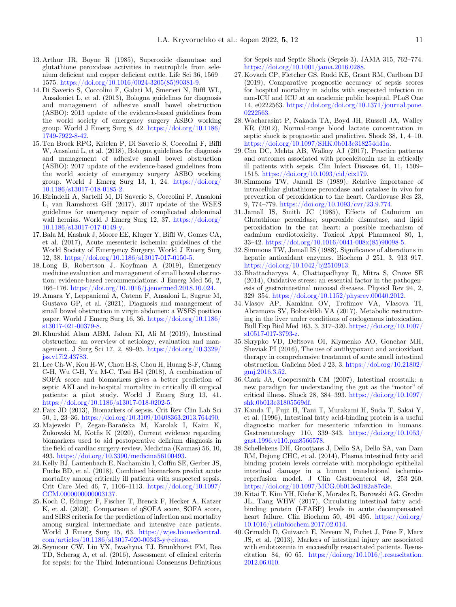- <span id="page-10-0"></span>13. Arthur JR, Boyne R (1985), Superoxide dismutase and glutathione peroxidase activities in neutrophils from selenium deficient and copper deficient cattle. Life Sci 36, 1569– 1575. [https://doi.org/10.1016/0024-3205\(85\)90381-9.](https://doi.org/10.1016/0024-3205(85)90381-9)
- 14. Di Saverio S, Coccolini F, Galati M, Smerieri N, Biffl WL, Ansaloniet L, et al. (2013), Bologna guidelines for diagnosis and management of adhesive small bowel obstruction (ASBO): 2013 update of the evidence-based guidelines from the world society of emergency surgery ASBO working group. World J Emerg Surg 8, 42. [https://doi.org/10.1186/](https://doi.org/10.1186/1749-7922-8-42) [1749-7922-8-42](https://doi.org/10.1186/1749-7922-8-42).
- 15. Ten Broek RPG, Krielen P, Di Saverio S, Coccolini F, Biffl W, Ansaloni L, et al. (2018), Bologna guidelines for diagnosis and management of adhesive small bowel obstruction (ASBO): 2017 update of the evidence-based guidelines from the world society of emergency surgery ASBO working group. World J Emerg Surg 13, 1, 24. [https://doi.org/](https://doi.org/10.1186/s13017-018-0185-2) [10.1186/s13017-018-0185-2.](https://doi.org/10.1186/s13017-018-0185-2)
- 16. Birindelli A, Sartelli M, Di Saverio S, Coccolini F, Ansaloni L, van Ramshorst GH (2017), 2017 update of the WSES guidelines for emergency repair of complicated abdominal wall hernias. World J Emerg Surg 12, 37. [https://doi.org/](https://doi.org/10.1186/s13017-017-0149-y) [10.1186/s13017-017-0149-y.](https://doi.org/10.1186/s13017-017-0149-y)
- 17. Bala M, Kashuk J, Moore EE, Kluger Y, Biffl W, Gomes CA, et al. (2017), Acute mesenteric ischemia: guidelines of the World Society of Emergency Surgery. World J Emerg Surg 12, 38. <https://doi.org/10.1186/s13017-017-0150-5>.
- 18. Long B, Robertson J, Koyfman A (2019), Emergency medicine evaluation and management of small bowel obstruction: evidence-based recommendations. J Emerg Med 56, 2, <sup>166</sup>–176. <https://doi.org/10.1016/j.jemermed.2018.10.024>.
- 19. Amara Y, Leppaniemi A, Catena F, Ansaloni L, Sugrue M, Gustavo GP, et al. (2021), Diagnosis and management of small bowel obstruction in virgin abdomen: a WSES position paper. World J Emerg Surg 16, 36. [https://doi.org/10.1186/](https://doi.org/10.1186/s13017-021-00379-8) [s13017-021-00379-8](https://doi.org/10.1186/s13017-021-00379-8).
- 20. Khurshid Alam ABM, Jahan KI, Ali M (2019), Intestinal obstruction: an overview of aetiology, evaluation and management. J Surg Sci 17, 2, 89–95. [https://doi.org/10.3329/](https://doi.org/10.3329/jss.v17i2.43783) [jss.v17i2.43783.](https://doi.org/10.3329/jss.v17i2.43783)
- 21. Lee Ch-W, Kou H-W, Chou H-S, Chou H, Huang S-F, Chang C-H, Wu C-H, Yu M-C, Tsai H-I (2018), A combination of SOFA score and biomarkers gives a better prediction of septic AKI and in-hospital mortality in critically ill surgical patients: a pilot study. World J Emerg Surg 13, 41. <https://doi.org/10.1186/s13017-018-0202-5>.
- 22. Faix JD (2013), Biomarkers of sepsis. Crit Rev Clin Lab Sci 50, 1, 23–36. [https://doi.org/10.3109/10408363.2013.764490.](https://doi.org/10.3109/10408363.2013.764490)
- 23. Majewski P, Zegan-Barańska M, Karolak I, Kaim K,  $\rm Zukowski$  M, Kotfis K (2020), Current evidence regarding biomarkers used to aid postoperative delirium diagnosis in the field of cardiac surgery-review. Medicina (Kaunas) 56, 10, 493. <https://doi.org/10.3390/medicina56100493>.
- 24. Kelly BJ, Lautenbach E, Nachamkin I, Coffin SE, Gerber JS, Fuchs BD, et al. (2018), Combined biomarkers predict acute mortality among critically ill patients with suspected sepsis. Crit Care Med 46, 7, 1106–1113. [https://doi.org/10.1097/](https://doi.org/10.1097/CCM.0000000000003137) [CCM.0000000000003137.](https://doi.org/10.1097/CCM.0000000000003137)
- 25. Koch C, Edinger F, Fischer T, Brenck F, Hecker A, Katzer K, et al. (2020), Comparison of qSOFA score, SOFA score, and SIRS criteria for the prediction of infection and mortality among surgical intermediate and intensive care patients. World J Emerg Surg 15, 63. [https://wjes.biomedcentral.](https://wjes.biomedcentral.com/articles/10.1186/s13017-020-00343-y#citeas) [com/articles/10.1186/s13017-020-00343-y#citeas.](https://wjes.biomedcentral.com/articles/10.1186/s13017-020-00343-y#citeas)
- 26. Seymour CW, Liu VX, Iwashyna TJ, Brunkhorst FM, Rea TD, Scherag A, et al. (2016), Assessment of clinical criteria for sepsis: for the Third International Consensus Definitions

for Sepsis and Septic Shock (Sepsis-3). JAMA 315, 762–774. <https://doi.org/10.1001/jama.2016.0288>.

- 27. Kovach CP, Fletcher GS, Rudd KE, Grant RM, Carlbom DJ (2019), Comparative prognostic accuracy of sepsis scores for hospital mortality in adults with suspected infection in non-ICU and ICU at an academic public hospital. PLoS One 14, e0222563. [https://doi.org/doi.org/10.1371/journal.pone.](https://doi.org/doi.org/10.1371/journal.pone.0222563) [0222563](https://doi.org/doi.org/10.1371/journal.pone.0222563).
- 28.Wacharasint P, Nakada TA, Boyd JH, Russell JA, Walley KR (2012), Normal-range blood lactate concentration in septic shock is prognostic and predictive. Shock 38, 1, 4–10. [https://doi.org/10.1097/SHK.0b013e318254d41a.](https://doi.org/10.1097/SHK.0b013e318254d41a)
- 29. Chu DC, Mehta AB, Walkey AJ (2017), Practice patterns and outcomes associated with procalcitonin use in critically ill patients with sepsis. Clin Infect Diseases 64, 11, 1509– 1515. <https://doi.org/10.1093/cid/cix179>.
- 30. Simmons TW, Jamall IS (1989), Relative importance of intracellular glutathione peroxidase and catalase in vivo for prevention of peroxidation to the heart. Cardiovasc Res 23, 9, 774–779. [https://doi.org/10.1093/cvr/23.9.774.](https://doi.org/10.1093/cvr/23.9.774)
- 31. Jamall IS, Smith JC (1985), Effects of Cadmium on Glutathione peroxidase, superoxide dismutase, and lipid peroxidation in the rat heart: a possible mechanism of cadmium cardiotoxicity. Toxicol Appl Pharmacol 80, 1, <sup>33</sup>–42. [https://doi.org/10.1016/0041-008x\(85\)90098-5](https://doi.org/10.1016/0041-008x(85)90098-5).
- 32. Simmons TW, Jamall IS (1988), Significance of alterations in hepatic antioxidant enzymes. Biochem J 251, 3, 913–917. [https://doi.org/10.1042/bj2510913.](https://doi.org/10.1042/bj2510913)
- 33. Bhattacharyya A, Chattopadhyay R, Mitra S, Crowe SE (2014), Oxidative stress: an essential factor in the pathogenesis of gastrointestinal mucosal diseases. Physiol Rev 94, 2, <sup>329</sup>–354. [https://doi.org/10.1152/physrev.00040.2012.](https://doi.org/10.1152/physrev.00040.2012)
- 34. Vlasov AP, Kamkina OV, Trofimov VA, Vlasova TI, Abramova SV, Bolotskikh VA (2017), Metabolic restructuring in the liver under conditions of endogenous intoxication. Bull Exp Biol Med 163, 3, 317–320. [https://doi.org/10.1007/](https://doi.org/10.1007/s10517-017-3793-z) [s10517-017-3793-z.](https://doi.org/10.1007/s10517-017-3793-z)
- 35. Skrypko VD, Deltsova OI, Klymenko AO, Gonchar MH, Sheviak PI (2016), The use of antihypoxant and antioxidant therapy in comprehensive treatment of acute small intestinal obstruction. Galician Med J 23, 3. [https://doi.org/10.21802/](https://doi.org/10.21802/gmj.2016.3.52) [gmj.2016.3.52](https://doi.org/10.21802/gmj.2016.3.52).
- 36. Clark JA, Coopersmith CM (2007), Intestinal crosstalk: a new paradigm for understanding the gut as the "motor" of critical illness. Shock 28, 384–393. [https://doi.org/10.1097/](https://doi.org/10.1097/shk.0b013e31805569df) [shk.0b013e31805569df.](https://doi.org/10.1097/shk.0b013e31805569df)
- 37. Kanda T, Fujii H, Tani T, Murakami H, Suda T, Sakai Y, et al. (1996), Intestinal fatty acid-binding protein is a useful diagnostic marker for mesenteric infarction in humans. Gastroenterology 110, 339–343. [https://doi.org/10.1053/](https://doi.org/10.1053/gast.1996.v110.pm8566578) [gast.1996.v110.pm8566578.](https://doi.org/10.1053/gast.1996.v110.pm8566578)
- 38. Schellekens DH, Grootjans J, Dello SA, Dello SA, van Dam RM, Dejong CHC, et al. (2014), Plasma intestinal fatty acid binding protein levels correlate with morphologic epithelial intestinal damage in a human translational ischemiareperfusion model. J Clin Gastroenterol 48, 253–260. <https://doi.org/10.1097/MCG.0b013e3182a87e3e>.
- 39. Kitai T, Kim YH, Kiefer K, Morales R, Borowski AG, Grodin JL, Tang WHW (2017), Circulating intestinal fatty acidbinding protein (I-FABP) levels in acute decompensated heart failure. Clin Biochem 50, 491–495. [https://doi.org/](https://doi.org/10.1016/j.clinbiochem.2017.02.014) [10.1016/j.clinbiochem.2017.02.014](https://doi.org/10.1016/j.clinbiochem.2017.02.014).
- 40. Grimaldi D, Guivarch E, Neveux N, Fichet J, Pène F, Marx JS, et al. (2013), Markers of intestinal injury are associated with endotoxemia in successfully resuscitated patients. Resuscitation 84, 60–65. [https://doi.org/10.1016/j.resuscitation.](https://doi.org/10.1016/j.resuscitation.2012.06.010) [2012.06.010](https://doi.org/10.1016/j.resuscitation.2012.06.010).